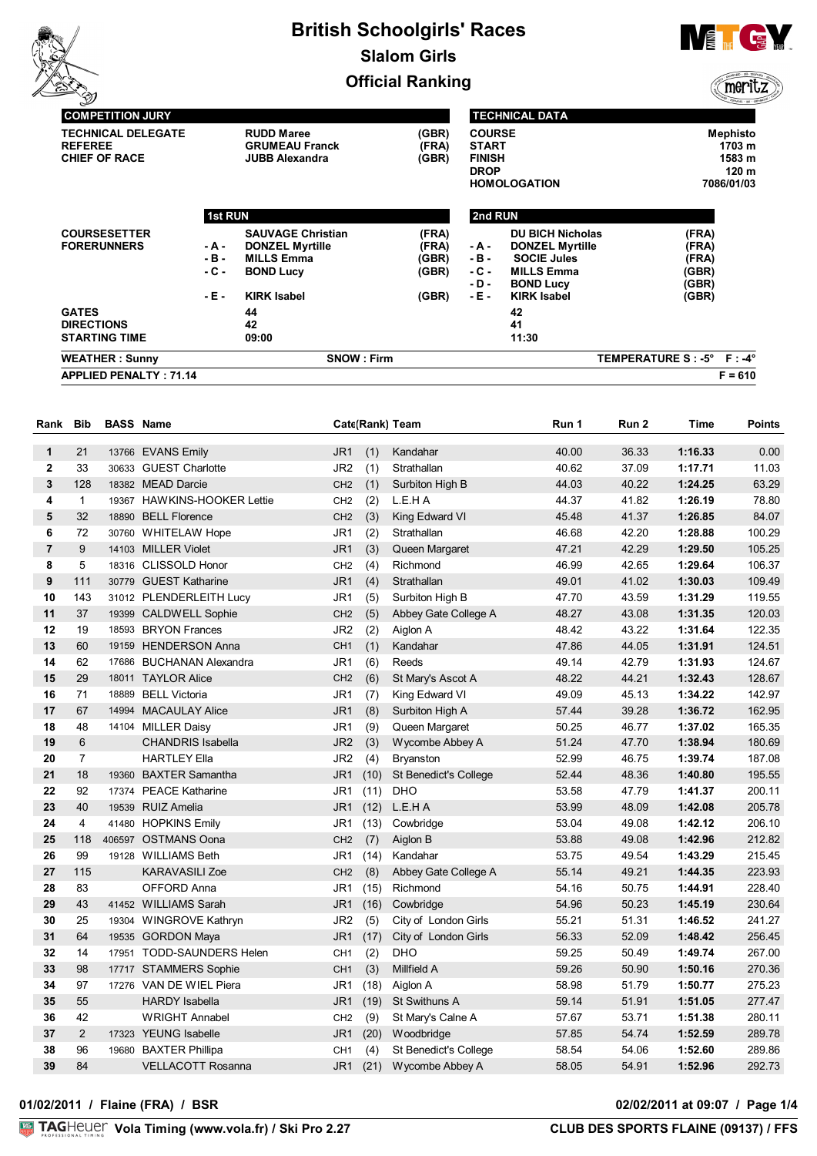

**TECHNICAL DATA**



meritz

| (GBR)<br><b>BOND Lucy</b><br>- D -<br>- E -<br><b>KIRK Isabel</b><br>(GBR)<br>42<br>41<br>11:30<br>TEMPERATURE S: -5° F: -4° |
|------------------------------------------------------------------------------------------------------------------------------|
|                                                                                                                              |
|                                                                                                                              |
|                                                                                                                              |
|                                                                                                                              |
|                                                                                                                              |
|                                                                                                                              |
| - C -<br><b>MILLS Emma</b><br>(GBR)                                                                                          |
| - B -<br><b>SOCIE Jules</b><br>(FRA)                                                                                         |
| (FRA)<br><b>DONZEL Myrtille</b><br>- A -                                                                                     |
| <b>DU BICH Nicholas</b><br>(FRA)                                                                                             |
| 2nd RUN                                                                                                                      |
| <b>HOMOLOGATION</b><br>7086/01/03                                                                                            |
| <b>DROP</b><br>120 m                                                                                                         |
| <b>FINISH</b><br>1583 m                                                                                                      |
| <b>Mephisto</b><br><b>COURSE</b><br><b>START</b><br>1703 m                                                                   |
|                                                                                                                              |

| Rank           | <b>Bib</b>     | <b>BASS Name</b> |                             |                 |      | Cate(Rank) Team              | Run 1 | Run 2 | Time    | <b>Points</b> |
|----------------|----------------|------------------|-----------------------------|-----------------|------|------------------------------|-------|-------|---------|---------------|
| 1              | 21             |                  | 13766 EVANS Emily           | JR <sub>1</sub> | (1)  | Kandahar                     | 40.00 | 36.33 | 1:16.33 | 0.00          |
| $\mathbf{2}$   | 33             |                  | 30633 GUEST Charlotte       | JR <sub>2</sub> | (1)  | Strathallan                  | 40.62 | 37.09 | 1:17.71 | 11.03         |
| 3              | 128            |                  | 18382 MEAD Darcie           | CH <sub>2</sub> | (1)  | Surbiton High B              | 44.03 | 40.22 | 1:24.25 | 63.29         |
| 4              | $\mathbf{1}$   |                  | 19367 HAWKINS-HOOKER Lettie | CH <sub>2</sub> | (2)  | L.E.H A                      | 44.37 | 41.82 | 1:26.19 | 78.80         |
| 5              | 32             |                  | 18890 BELL Florence         | CH <sub>2</sub> | (3)  | King Edward VI               | 45.48 | 41.37 | 1:26.85 | 84.07         |
| 6              | 72             |                  | 30760 WHITELAW Hope         | JR1             | (2)  | Strathallan                  | 46.68 | 42.20 | 1:28.88 | 100.29        |
| $\overline{7}$ | 9              |                  | 14103 MILLER Violet         | JR <sub>1</sub> | (3)  | Queen Margaret               | 47.21 | 42.29 | 1:29.50 | 105.25        |
| 8              | 5              |                  | 18316 CLISSOLD Honor        | CH <sub>2</sub> | (4)  | Richmond                     | 46.99 | 42.65 | 1:29.64 | 106.37        |
| 9              | 111            |                  | 30779 GUEST Katharine       | JR <sub>1</sub> | (4)  | Strathallan                  | 49.01 | 41.02 | 1:30.03 | 109.49        |
| 10             | 143            |                  | 31012 PLENDERLEITH Lucy     | JR1             | (5)  | Surbiton High B              | 47.70 | 43.59 | 1:31.29 | 119.55        |
| 11             | 37             |                  | 19399 CALDWELL Sophie       | CH <sub>2</sub> | (5)  | Abbey Gate College A         | 48.27 | 43.08 | 1:31.35 | 120.03        |
| 12             | 19             |                  | 18593 BRYON Frances         | JR <sub>2</sub> | (2)  | Aiglon A                     | 48.42 | 43.22 | 1:31.64 | 122.35        |
| 13             | 60             |                  | 19159 HENDERSON Anna        | CH <sub>1</sub> | (1)  | Kandahar                     | 47.86 | 44.05 | 1:31.91 | 124.51        |
| 14             | 62             |                  | 17686 BUCHANAN Alexandra    | JR1             | (6)  | Reeds                        | 49.14 | 42.79 | 1:31.93 | 124.67        |
| 15             | 29             |                  | 18011 TAYLOR Alice          | CH <sub>2</sub> | (6)  | St Mary's Ascot A            | 48.22 | 44.21 | 1:32.43 | 128.67        |
| 16             | 71             |                  | 18889 BELL Victoria         | JR1             | (7)  | King Edward VI               | 49.09 | 45.13 | 1:34.22 | 142.97        |
| 17             | 67             |                  | 14994 MACAULAY Alice        | JR <sub>1</sub> | (8)  | Surbiton High A              | 57.44 | 39.28 | 1:36.72 | 162.95        |
| 18             | 48             |                  | 14104 MILLER Daisy          | JR1             | (9)  | Queen Margaret               | 50.25 | 46.77 | 1:37.02 | 165.35        |
| 19             | 6              |                  | <b>CHANDRIS Isabella</b>    | JR <sub>2</sub> | (3)  | Wycombe Abbey A              | 51.24 | 47.70 | 1:38.94 | 180.69        |
| 20             | $\overline{7}$ |                  | <b>HARTLEY Ella</b>         | JR <sub>2</sub> | (4)  | <b>Bryanston</b>             | 52.99 | 46.75 | 1:39.74 | 187.08        |
| 21             | 18             |                  | 19360 BAXTER Samantha       | JR <sub>1</sub> | (10) | <b>St Benedict's College</b> | 52.44 | 48.36 | 1:40.80 | 195.55        |
| 22             | 92             |                  | 17374 PEACE Katharine       | JR1             | (11) | <b>DHO</b>                   | 53.58 | 47.79 | 1:41.37 | 200.11        |
| 23             | 40             |                  | 19539 RUIZ Amelia           | JR1             | (12) | L.E.H A                      | 53.99 | 48.09 | 1:42.08 | 205.78        |
| 24             | 4              |                  | 41480 HOPKINS Emily         | JR1             | (13) | Cowbridge                    | 53.04 | 49.08 | 1:42.12 | 206.10        |
| 25             | 118            |                  | 406597 OSTMANS Oona         | CH <sub>2</sub> | (7)  | Aiglon B                     | 53.88 | 49.08 | 1:42.96 | 212.82        |
| 26             | 99             |                  | 19128 WILLIAMS Beth         | JR1             | (14) | Kandahar                     | 53.75 | 49.54 | 1:43.29 | 215.45        |
| 27             | 115            |                  | KARAVASILI Zoe              | CH <sub>2</sub> | (8)  | Abbey Gate College A         | 55.14 | 49.21 | 1:44.35 | 223.93        |
| 28             | 83             |                  | OFFORD Anna                 | JR1             | (15) | Richmond                     | 54.16 | 50.75 | 1:44.91 | 228.40        |
| 29             | 43             |                  | 41452 WILLIAMS Sarah        | JR <sub>1</sub> | (16) | Cowbridge                    | 54.96 | 50.23 | 1:45.19 | 230.64        |
| 30             | 25             |                  | 19304 WINGROVE Kathryn      | JR <sub>2</sub> | (5)  | City of London Girls         | 55.21 | 51.31 | 1:46.52 | 241.27        |
| 31             | 64             |                  | 19535 GORDON Maya           | JR <sub>1</sub> | (17) | City of London Girls         | 56.33 | 52.09 | 1:48.42 | 256.45        |
| 32             | 14             |                  | 17951 TODD-SAUNDERS Helen   | CH <sub>1</sub> | (2)  | <b>DHO</b>                   | 59.25 | 50.49 | 1:49.74 | 267.00        |
| 33             | 98             |                  | 17717 STAMMERS Sophie       | CH <sub>1</sub> | (3)  | Millfield A                  | 59.26 | 50.90 | 1:50.16 | 270.36        |
| 34             | 97             |                  | 17276 VAN DE WIEL Piera     | JR1             | (18) | Aiglon A                     | 58.98 | 51.79 | 1:50.77 | 275.23        |
| 35             | 55             |                  | <b>HARDY Isabella</b>       | JR <sub>1</sub> | (19) | <b>St Swithuns A</b>         | 59.14 | 51.91 | 1:51.05 | 277.47        |
| 36             | 42             |                  | <b>WRIGHT Annabel</b>       | CH <sub>2</sub> | (9)  | St Mary's Calne A            | 57.67 | 53.71 | 1:51.38 | 280.11        |
| 37             | $\overline{2}$ |                  | 17323 YEUNG Isabelle        | JR <sub>1</sub> | (20) | Woodbridge                   | 57.85 | 54.74 | 1:52.59 | 289.78        |
| 38             | 96             |                  | 19680 BAXTER Phillipa       | CH <sub>1</sub> | (4)  | <b>St Benedict's College</b> | 58.54 | 54.06 | 1:52.60 | 289.86        |
| 39             | 84             |                  | <b>VELLACOTT Rosanna</b>    | JR <sub>1</sub> | (21) | Wycombe Abbey A              | 58.05 | 54.91 | 1:52.96 | 292.73        |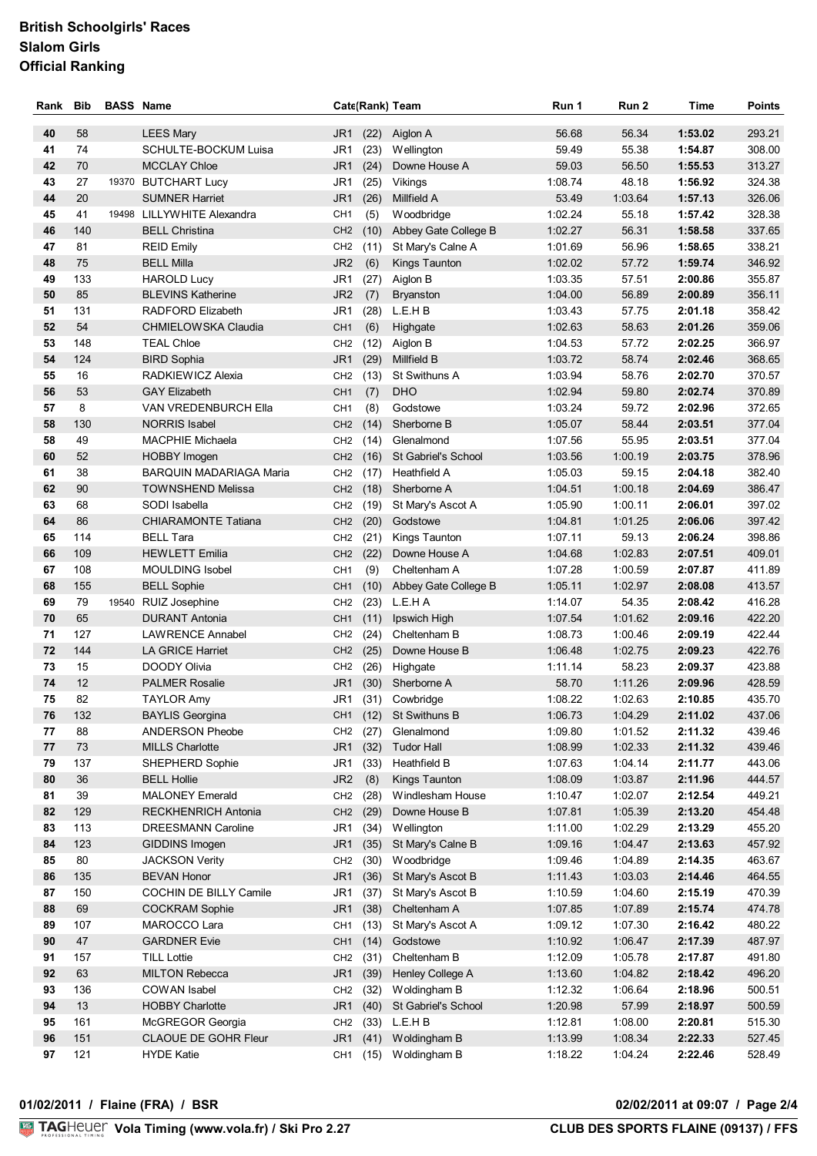| Rank     | <b>Bib</b> | <b>BASS Name</b> |                                            |                                    |                      | Cate(Rank) Team                       | Run 1              | Run 2            | Time               | <b>Points</b>    |
|----------|------------|------------------|--------------------------------------------|------------------------------------|----------------------|---------------------------------------|--------------------|------------------|--------------------|------------------|
| 40       | 58         |                  | <b>LEES Mary</b>                           | JR <sub>1</sub>                    | (22)                 | Aiglon A                              | 56.68              | 56.34            | 1:53.02            | 293.21           |
| 41       | 74         |                  | SCHULTE-BOCKUM Luisa                       | JR1                                | (23)                 | Wellington                            | 59.49              | 55.38            | 1:54.87            | 308.00           |
| 42       | 70         |                  | <b>MCCLAY Chloe</b>                        | JR <sub>1</sub>                    | (24)                 | Downe House A                         | 59.03              | 56.50            | 1:55.53            | 313.27           |
| 43       | 27         |                  | 19370 BUTCHART Lucy                        | JR1                                | (25)                 | Vikings                               | 1:08.74            | 48.18            | 1:56.92            | 324.38           |
| 44       | 20         |                  | <b>SUMNER Harriet</b>                      | JR1                                | (26)                 | Millfield A                           | 53.49              | 1:03.64          | 1:57.13            | 326.06           |
| 45       | 41         |                  | 19498 LILLYWHITE Alexandra                 | CH <sub>1</sub>                    | (5)                  | Woodbridge                            | 1:02.24            | 55.18            | 1:57.42            | 328.38           |
| 46       | 140        |                  | <b>BELL Christina</b>                      | CH <sub>2</sub>                    | (10)                 | Abbey Gate College B                  | 1:02.27            | 56.31            | 1:58.58            | 337.65           |
| 47       | 81         |                  | <b>REID Emily</b>                          | CH <sub>2</sub>                    | (11)                 | St Mary's Calne A                     | 1:01.69            | 56.96            | 1:58.65            | 338.21           |
| 48       | 75         |                  | <b>BELL Milla</b>                          | JR <sub>2</sub>                    | (6)                  | Kings Taunton                         | 1:02.02            | 57.72            | 1:59.74            | 346.92           |
| 49       | 133        |                  | <b>HAROLD Lucy</b>                         | JR1                                | (27)                 | Aiglon B                              | 1:03.35            | 57.51            | 2:00.86            | 355.87           |
| 50       | 85         |                  | <b>BLEVINS Katherine</b>                   | JR <sub>2</sub>                    | (7)                  | <b>Bryanston</b>                      | 1:04.00            | 56.89            | 2:00.89            | 356.11           |
| 51       | 131        |                  | RADFORD Elizabeth                          | JR <sub>1</sub>                    | (28)                 | L.E.H B                               | 1:03.43            | 57.75            | 2:01.18            | 358.42           |
| 52       | 54         |                  | <b>CHMIELOWSKA Claudia</b>                 | CH <sub>1</sub>                    | (6)                  | Highgate                              | 1:02.63            | 58.63            | 2:01.26            | 359.06           |
| 53       | 148        |                  | <b>TEAL Chloe</b>                          | CH <sub>2</sub>                    | (12)                 | Aiglon B                              | 1:04.53            | 57.72            | 2:02.25            | 366.97           |
| 54       | 124        |                  | <b>BIRD Sophia</b>                         | JR <sub>1</sub>                    | (29)                 | Millfield B                           | 1:03.72            | 58.74            | 2:02.46            | 368.65           |
| 55       | 16         |                  | RADKIEWICZ Alexia                          | CH <sub>2</sub>                    | (13)                 | <b>St Swithuns A</b>                  | 1:03.94            | 58.76            | 2:02.70            | 370.57           |
| 56       | 53         |                  | <b>GAY Elizabeth</b>                       | CH <sub>1</sub>                    | (7)                  | <b>DHO</b>                            | 1:02.94            | 59.80            | 2:02.74            | 370.89           |
| 57       | 8          |                  | <b>VAN VREDENBURCH Ella</b>                | CH <sub>1</sub>                    | (8)                  | Godstowe                              | 1:03.24            | 59.72            | 2:02.96            | 372.65           |
| 58       | 130        |                  | <b>NORRIS Isabel</b>                       | CH <sub>2</sub>                    | (14)                 | Sherborne B                           | 1:05.07            | 58.44            | 2:03.51            | 377.04           |
| 58       | 49         |                  | <b>MACPHIE Michaela</b>                    | CH <sub>2</sub>                    | (14)                 | Glenalmond                            | 1:07.56            | 55.95            | 2:03.51            | 377.04           |
| 60       | 52         |                  | <b>HOBBY Imogen</b>                        | CH <sub>2</sub>                    | (16)                 | St Gabriel's School                   | 1:03.56            | 1:00.19          | 2:03.75            | 378.96           |
| 61       | 38         |                  | <b>BARQUIN MADARIAGA Maria</b>             | CH <sub>2</sub>                    | (17)                 | Heathfield A                          | 1:05.03            | 59.15            | 2:04.18            | 382.40           |
| 62       | 90         |                  | <b>TOWNSHEND Melissa</b>                   | CH <sub>2</sub>                    | (18)                 | Sherborne A                           | 1:04.51            | 1:00.18          | 2:04.69            | 386.47           |
| 63       | 68         |                  | SODI Isabella                              | CH <sub>2</sub>                    | (19)                 | St Mary's Ascot A                     | 1:05.90            | 1:00.11          | 2:06.01            | 397.02           |
| 64       | 86         |                  | <b>CHIARAMONTE Tatiana</b>                 | CH <sub>2</sub>                    | (20)                 | Godstowe                              | 1:04.81            | 1:01.25          | 2:06.06            | 397.42           |
| 65       | 114        |                  | <b>BELL Tara</b>                           | CH <sub>2</sub>                    | (21)                 | Kings Taunton                         | 1:07.11            | 59.13            | 2:06.24            | 398.86           |
| 66       | 109        |                  | <b>HEWLETT Emilia</b>                      | CH <sub>2</sub>                    | (22)                 | Downe House A                         | 1:04.68            | 1:02.83          | 2:07.51            | 409.01           |
| 67       | 108        |                  | <b>MOULDING Isobel</b>                     | CH <sub>1</sub>                    | (9)                  | Cheltenham A                          | 1:07.28            | 1:00.59          | 2:07.87            | 411.89           |
| 68<br>69 | 155<br>79  |                  | <b>BELL Sophie</b><br>19540 RUIZ Josephine | CH <sub>1</sub>                    | (10)                 | Abbey Gate College B<br>L.E.H A       | 1:05.11<br>1:14.07 | 1:02.97<br>54.35 | 2:08.08<br>2:08.42 | 413.57<br>416.28 |
| 70       | 65         |                  | <b>DURANT Antonia</b>                      | CH <sub>2</sub><br>CH <sub>1</sub> | (23)<br>(11)         | Ipswich High                          | 1:07.54            | 1:01.62          | 2:09.16            | 422.20           |
| 71       | 127        |                  | <b>LAWRENCE Annabel</b>                    | CH <sub>2</sub>                    | (24)                 | Cheltenham B                          | 1:08.73            | 1:00.46          | 2:09.19            | 422.44           |
| 72       | 144        |                  | LA GRICE Harriet                           | CH <sub>2</sub>                    | (25)                 | Downe House B                         | 1:06.48            | 1:02.75          | 2:09.23            | 422.76           |
| 73       | 15         |                  | DOODY Olivia                               | CH <sub>2</sub>                    |                      | (26) Highgate                         | 1:11.14            | 58.23            | 2:09.37            | 423.88           |
| 74       | 12         |                  | <b>PALMER Rosalie</b>                      | JR <sub>1</sub>                    | (30)                 | Sherborne A                           | 58.70              | 1:11.26          | 2:09.96            | 428.59           |
| 75       | 82         |                  | <b>TAYLOR Amy</b>                          |                                    |                      | JR1 (31) Cowbridge                    | 1:08.22            | 1:02.63          | 2:10.85            | 435.70           |
| 76       | 132        |                  | <b>BAYLIS Georgina</b>                     |                                    |                      | CH1 (12) St Swithuns B                | 1:06.73            | 1:04.29          | 2:11.02            | 437.06           |
| 77       | 88         |                  | <b>ANDERSON Pheobe</b>                     |                                    | CH <sub>2</sub> (27) | Glenalmond                            | 1:09.80            | 1:01.52          | 2:11.32            | 439.46           |
| 77       | 73         |                  | <b>MILLS Charlotte</b>                     |                                    | JR1 (32)             | <b>Tudor Hall</b>                     | 1:08.99            | 1:02.33          | 2:11.32            | 439.46           |
| 79       | 137        |                  | SHEPHERD Sophie                            | JR1                                | (33)                 | Heathfield B                          | 1:07.63            | 1:04.14          | 2:11.77            | 443.06           |
| 80       | 36         |                  | <b>BELL Hollie</b>                         | JR <sub>2</sub>                    | (8)                  | Kings Taunton                         | 1:08.09            | 1:03.87          | 2:11.96            | 444.57           |
| 81       | 39         |                  | <b>MALONEY Emerald</b>                     | CH <sub>2</sub>                    | (28)                 | Windlesham House                      | 1:10.47            | 1:02.07          | 2:12.54            | 449.21           |
| 82       | 129        |                  | <b>RECKHENRICH Antonia</b>                 | CH <sub>2</sub>                    | (29)                 | Downe House B                         | 1:07.81            | 1:05.39          | 2:13.20            | 454.48           |
| 83       | 113        |                  | <b>DREESMANN Caroline</b>                  | JR1                                | (34)                 | Wellington                            | 1:11.00            | 1:02.29          | 2:13.29            | 455.20           |
| 84       | 123        |                  | GIDDINS Imogen                             | JR <sub>1</sub>                    | (35)                 | St Mary's Calne B                     | 1:09.16            | 1:04.47          | 2:13.63            | 457.92           |
| 85       | 80         |                  | <b>JACKSON Verity</b>                      | CH <sub>2</sub>                    | (30)                 | Woodbridge                            | 1:09.46            | 1:04.89          | 2:14.35            | 463.67           |
| 86       | 135        |                  | <b>BEVAN Honor</b>                         | JR <sub>1</sub>                    | (36)                 | St Mary's Ascot B                     | 1:11.43            | 1:03.03          | 2:14.46            | 464.55           |
| 87       | 150        |                  | COCHIN DE BILLY Camile                     | JR <sub>1</sub>                    | (37)                 | St Mary's Ascot B                     | 1:10.59            | 1:04.60          | 2:15.19            | 470.39           |
| 88       | 69         |                  | <b>COCKRAM Sophie</b>                      | JR1                                | (38)                 | Cheltenham A                          | 1:07.85            | 1:07.89          | 2:15.74            | 474.78           |
| 89       | 107        |                  | MAROCCO Lara                               | CH <sub>1</sub>                    | (13)                 | St Mary's Ascot A                     | 1:09.12            | 1:07.30          | 2:16.42            | 480.22           |
| 90       | 47         |                  | <b>GARDNER Evie</b>                        | CH <sub>1</sub>                    | (14)                 | Godstowe                              | 1:10.92            | 1:06.47          | 2:17.39            | 487.97           |
| 91       | 157        |                  | <b>TILL Lottie</b>                         | CH <sub>2</sub>                    | (31)                 | Cheltenham B                          | 1:12.09            | 1:05.78          | 2:17.87            | 491.80           |
| 92       | 63         |                  | <b>MILTON Rebecca</b>                      | JR1                                | (39)                 | Henley College A                      | 1:13.60            | 1:04.82          | 2:18.42            | 496.20           |
| 93       | 136        |                  | COWAN Isabel                               | CH <sub>2</sub>                    | (32)                 | Woldingham B                          | 1:12.32            | 1:06.64          | 2:18.96            | 500.51           |
| 94       | 13<br>161  |                  | <b>HOBBY Charlotte</b>                     | JR1                                | (40)                 | St Gabriel's School<br>$(33)$ L.E.H B | 1:20.98<br>1:12.81 | 57.99<br>1:08.00 | 2:18.97<br>2:20.81 | 500.59<br>515.30 |
| 95<br>96 | 151        |                  | McGREGOR Georgia<br>CLAOUE DE GOHR Fleur   | CH <sub>2</sub><br>JR1             | (41)                 | Woldingham B                          | 1:13.99            | 1:08.34          | 2:22.33            | 527.45           |
| 97       | 121        |                  | <b>HYDE Katie</b>                          | CH <sub>1</sub>                    |                      | (15) Woldingham B                     | 1:18.22            | 1:04.24          | 2:22.46            | 528.49           |
|          |            |                  |                                            |                                    |                      |                                       |                    |                  |                    |                  |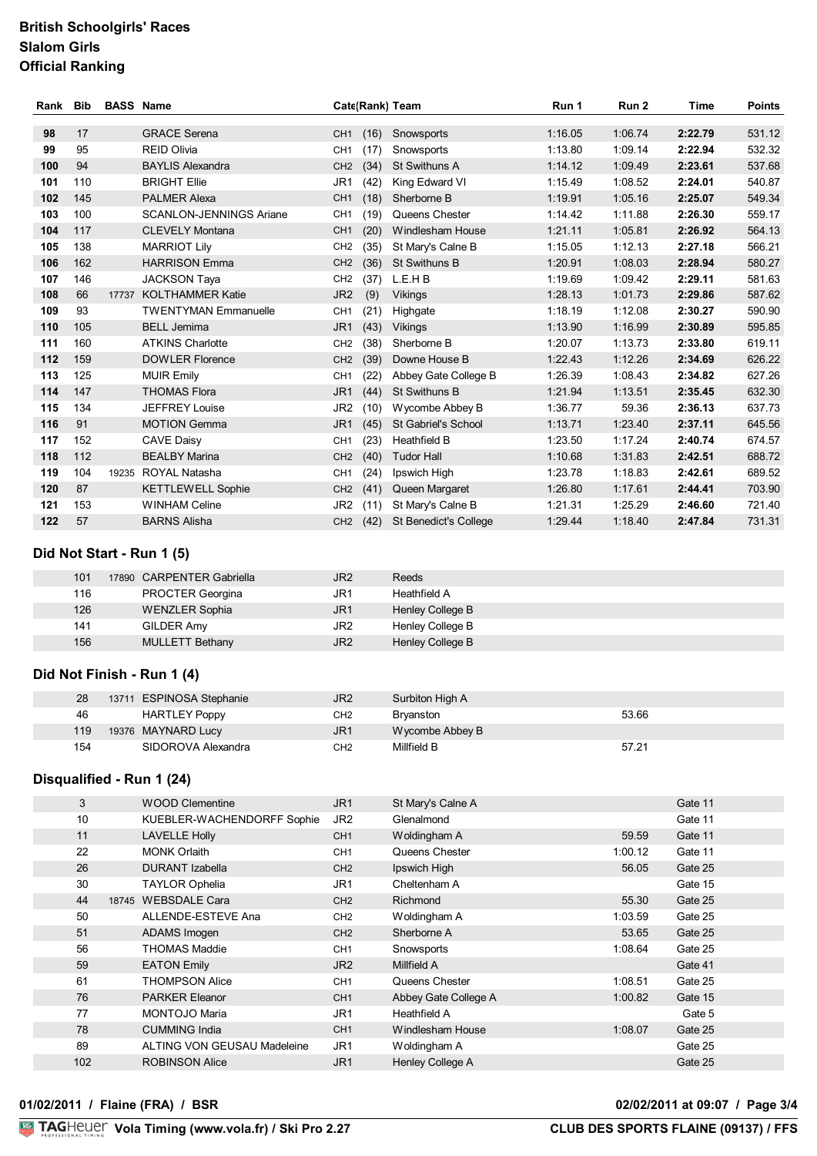| Rank | Bib | <b>BASS Name</b> |                                |                      |      | Cate(Rank) Team              | Run 1   | Run 2   | Time    | <b>Points</b> |
|------|-----|------------------|--------------------------------|----------------------|------|------------------------------|---------|---------|---------|---------------|
| 98   | 17  |                  | <b>GRACE Serena</b>            | CH <sub>1</sub>      | (16) | Snowsports                   | 1:16.05 | 1:06.74 | 2:22.79 | 531.12        |
| 99   | 95  |                  | <b>REID Olivia</b>             | CH <sub>1</sub>      | (17) | Snowsports                   | 1:13.80 | 1:09.14 | 2:22.94 | 532.32        |
| 100  |     |                  |                                |                      |      |                              |         |         |         |               |
|      | 94  |                  | <b>BAYLIS Alexandra</b>        | CH <sub>2</sub>      | (34) | St Swithuns A                | 1:14.12 | 1:09.49 | 2:23.61 | 537.68        |
| 101  | 110 |                  | <b>BRIGHT Ellie</b>            | JR <sub>1</sub>      | (42) | King Edward VI               | 1:15.49 | 1:08.52 | 2:24.01 | 540.87        |
| 102  | 145 |                  | <b>PALMER Alexa</b>            | CH <sub>1</sub>      | (18) | Sherborne B                  | 1:19.91 | 1:05.16 | 2:25.07 | 549.34        |
| 103  | 100 |                  | <b>SCANLON-JENNINGS Ariane</b> | CH <sub>1</sub>      | (19) | Queens Chester               | 1:14.42 | 1:11.88 | 2:26.30 | 559.17        |
| 104  | 117 |                  | <b>CLEVELY Montana</b>         | CH <sub>1</sub>      | (20) | Windlesham House             | 1:21.11 | 1:05.81 | 2:26.92 | 564.13        |
| 105  | 138 |                  | <b>MARRIOT Lily</b>            | CH <sub>2</sub>      | (35) | St Mary's Calne B            | 1:15.05 | 1:12.13 | 2:27.18 | 566.21        |
| 106  | 162 |                  | <b>HARRISON Emma</b>           | CH <sub>2</sub>      | (36) | St Swithuns B                | 1:20.91 | 1:08.03 | 2:28.94 | 580.27        |
| 107  | 146 |                  | <b>JACKSON Taya</b>            | CH <sub>2</sub>      | (37) | L.E.H B                      | 1:19.69 | 1:09.42 | 2:29.11 | 581.63        |
| 108  | 66  | 17737            | <b>KOLTHAMMER Katie</b>        | JR <sub>2</sub>      | (9)  | <b>Vikings</b>               | 1:28.13 | 1:01.73 | 2:29.86 | 587.62        |
| 109  | 93  |                  | <b>TWENTYMAN Emmanuelle</b>    | CH <sub>1</sub>      | (21) | Highgate                     | 1:18.19 | 1:12.08 | 2:30.27 | 590.90        |
| 110  | 105 |                  | <b>BELL Jemima</b>             | JR <sub>1</sub>      | (43) | <b>Vikings</b>               | 1:13.90 | 1:16.99 | 2:30.89 | 595.85        |
| 111  | 160 |                  | <b>ATKINS Charlotte</b>        | CH <sub>2</sub>      | (38) | Sherborne B                  | 1:20.07 | 1:13.73 | 2:33.80 | 619.11        |
| 112  | 159 |                  | <b>DOWLER Florence</b>         | CH <sub>2</sub>      | (39) | Downe House B                | 1:22.43 | 1:12.26 | 2:34.69 | 626.22        |
| 113  | 125 |                  | <b>MUIR Emily</b>              | CH <sub>1</sub>      | (22) | Abbey Gate College B         | 1:26.39 | 1:08.43 | 2:34.82 | 627.26        |
| 114  | 147 |                  | <b>THOMAS Flora</b>            | JR <sub>1</sub>      | (44) | <b>St Swithuns B</b>         | 1:21.94 | 1:13.51 | 2:35.45 | 632.30        |
| 115  | 134 |                  | <b>JEFFREY Louise</b>          | JR <sub>2</sub>      | (10) | Wycombe Abbey B              | 1:36.77 | 59.36   | 2:36.13 | 637.73        |
| 116  | 91  |                  | <b>MOTION Gemma</b>            | JR <sub>1</sub>      | (45) | St Gabriel's School          | 1:13.71 | 1:23.40 | 2:37.11 | 645.56        |
| 117  | 152 |                  | <b>CAVE Daisy</b>              | CH <sub>1</sub>      | (23) | Heathfield B                 | 1:23.50 | 1:17.24 | 2:40.74 | 674.57        |
| 118  | 112 |                  | <b>BEALBY Marina</b>           | CH <sub>2</sub>      | (40) | <b>Tudor Hall</b>            | 1:10.68 | 1:31.83 | 2:42.51 | 688.72        |
| 119  | 104 |                  | 19235 ROYAL Natasha            | CH <sub>1</sub>      | (24) | Ipswich High                 | 1:23.78 | 1:18.83 | 2:42.61 | 689.52        |
| 120  | 87  |                  | <b>KETTLEWELL Sophie</b>       | CH <sub>2</sub>      | (41) | Queen Margaret               | 1:26.80 | 1:17.61 | 2:44.41 | 703.90        |
| 121  | 153 |                  | <b>WINHAM Celine</b>           | JR <sub>2</sub>      | (11) | St Mary's Calne B            | 1:21.31 | 1:25.29 | 2:46.60 | 721.40        |
| 122  | 57  |                  | <b>BARNS Alisha</b>            | CH <sub>2</sub> (42) |      | <b>St Benedict's College</b> | 1:29.44 | 1:18.40 | 2:47.84 | 731.31        |

### **Did Not Start - Run 1 (5)**

| 101 | 17890 CARPENTER Gabriella | JR <sub>2</sub> | Reeds            |
|-----|---------------------------|-----------------|------------------|
| 116 | <b>PROCTER Georgina</b>   | JR1             | Heathfield A     |
| 126 | <b>WENZLER Sophia</b>     | JR1             | Henley College B |
| 141 | GILDER Amy                | JR <sub>2</sub> | Henley College B |
| 156 | <b>MULLETT Bethany</b>    | JR <sub>2</sub> | Henley College B |

### **Did Not Finish - Run 1 (4)**

| 28  | <b>ESPINOSA Stephanie</b><br>13711 | JR <sub>2</sub> | Surbiton High A  |       |
|-----|------------------------------------|-----------------|------------------|-------|
| 46  | <b>HARTLEY Poppy</b>               | CH <sub>2</sub> | <b>Brvanston</b> | 53.66 |
| 119 | 19376 MAYNARD Lucy                 | JR <sub>1</sub> | Wycombe Abbey B  |       |
| 154 | SIDOROVA Alexandra                 | CH <sub>2</sub> | Millfield B      | 57.21 |

### **Disqualified - Run 1 (24)**

| 3   | <b>WOOD Clementine</b>      | JR <sub>1</sub> | St Mary's Calne A    |         | Gate 11 |
|-----|-----------------------------|-----------------|----------------------|---------|---------|
| 10  | KUEBLER-WACHENDORFF Sophie  | JR <sub>2</sub> | Glenalmond           |         | Gate 11 |
| 11  | <b>LAVELLE Holly</b>        | CH <sub>1</sub> | Woldingham A         | 59.59   | Gate 11 |
| 22  | <b>MONK Orlaith</b>         | CH <sub>1</sub> | Queens Chester       | 1:00.12 | Gate 11 |
| 26  | <b>DURANT Izabella</b>      | CH <sub>2</sub> | Ipswich High         | 56.05   | Gate 25 |
| 30  | <b>TAYLOR Ophelia</b>       | JR <sub>1</sub> | Cheltenham A         |         | Gate 15 |
| 44  | 18745 WEBSDALE Cara         | CH <sub>2</sub> | <b>Richmond</b>      | 55.30   | Gate 25 |
| 50  | ALLENDE-ESTEVE Ana          | CH <sub>2</sub> | Woldingham A         | 1:03.59 | Gate 25 |
| 51  | ADAMS Imogen                | CH <sub>2</sub> | Sherborne A          | 53.65   | Gate 25 |
| 56  | <b>THOMAS Maddie</b>        | CH <sub>1</sub> | Snowsports           | 1:08.64 | Gate 25 |
| 59  | <b>EATON Emily</b>          | JR <sub>2</sub> | Millfield A          |         | Gate 41 |
| 61  | <b>THOMPSON Alice</b>       | CH <sub>1</sub> | Queens Chester       | 1:08.51 | Gate 25 |
| 76  | <b>PARKER Eleanor</b>       | CH <sub>1</sub> | Abbey Gate College A | 1:00.82 | Gate 15 |
| 77  | <b>MONTOJO Maria</b>        | JR <sub>1</sub> | Heathfield A         |         | Gate 5  |
| 78  | <b>CUMMING India</b>        | CH <sub>1</sub> | Windlesham House     | 1:08.07 | Gate 25 |
| 89  | ALTING VON GEUSAU Madeleine | JR <sub>1</sub> | Woldingham A         |         | Gate 25 |
| 102 | <b>ROBINSON Alice</b>       | JR <sub>1</sub> | Henley College A     |         | Gate 25 |
|     |                             |                 |                      |         |         |

**01/02/2011 / Flaine (FRA) / BSR 02/02/2011 at 09:07 / Page 3/4**